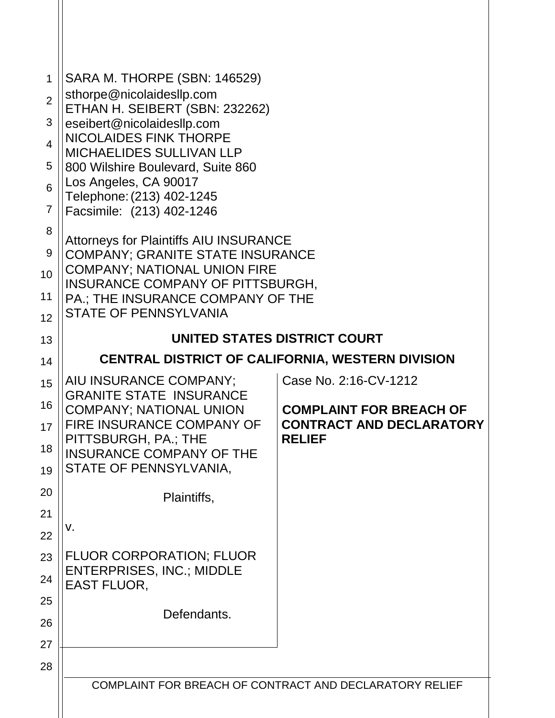| 1<br>$\overline{2}$<br>3<br>$\overline{4}$<br>5<br>6<br>$\overline{7}$<br>8<br>9<br>10<br>11<br>12<br>13<br>14<br>15 | SARA M. THORPE (SBN: 146529)<br>sthorpe@nicolaidesllp.com<br>ETHAN H. SEIBERT (SBN: 232262)<br>eseibert@nicolaidesllp.com<br><b>NICOLAIDES FINK THORPE</b><br><b>MICHAELIDES SULLIVAN LLP</b><br>800 Wilshire Boulevard, Suite 860<br>Los Angeles, CA 90017<br>Telephone: (213) 402-1245<br>Facsimile: (213) 402-1246<br><b>Attorneys for Plaintiffs AIU INSURANCE</b><br><b>COMPANY; GRANITE STATE INSURANCE</b><br><b>COMPANY; NATIONAL UNION FIRE</b><br>INSURANCE COMPANY OF PITTSBURGH,<br>PA.; THE INSURANCE COMPANY OF THE<br><b>STATE OF PENNSYLVANIA</b><br>UNITED STATES DISTRICT COURT<br><b>CENTRAL DISTRICT OF CALIFORNIA, WESTERN DIVISION</b><br>AIU INSURANCE COMPANY;<br>Case No. 2:16-CV-1212 |                                                                                    |  |
|----------------------------------------------------------------------------------------------------------------------|-----------------------------------------------------------------------------------------------------------------------------------------------------------------------------------------------------------------------------------------------------------------------------------------------------------------------------------------------------------------------------------------------------------------------------------------------------------------------------------------------------------------------------------------------------------------------------------------------------------------------------------------------------------------------------------------------------------------|------------------------------------------------------------------------------------|--|
| 16<br>17<br>18<br>19                                                                                                 | <b>GRANITE STATE INSURANCE</b><br><b>COMPANY; NATIONAL UNION</b><br>FIRE INSURANCE COMPANY OF<br>PITTSBURGH, PA.; THE<br><b>INSURANCE COMPANY OF THE</b><br>STATE OF PENNSYLVANIA,                                                                                                                                                                                                                                                                                                                                                                                                                                                                                                                              | <b>COMPLAINT FOR BREACH OF</b><br><b>CONTRACT AND DECLARATORY</b><br><b>RELIEF</b> |  |
| 20<br>21<br>22                                                                                                       | Plaintiffs,<br>٧.                                                                                                                                                                                                                                                                                                                                                                                                                                                                                                                                                                                                                                                                                               |                                                                                    |  |
| 23<br>24                                                                                                             | <b>FLUOR CORPORATION; FLUOR</b><br><b>ENTERPRISES, INC.; MIDDLE</b><br><b>EAST FLUOR,</b>                                                                                                                                                                                                                                                                                                                                                                                                                                                                                                                                                                                                                       |                                                                                    |  |
| 25<br>26<br>27                                                                                                       | Defendants.                                                                                                                                                                                                                                                                                                                                                                                                                                                                                                                                                                                                                                                                                                     |                                                                                    |  |
| 28                                                                                                                   |                                                                                                                                                                                                                                                                                                                                                                                                                                                                                                                                                                                                                                                                                                                 | COMPLAINT FOR BREACH OF CONTRACT AND DECLARATORY RELIEF                            |  |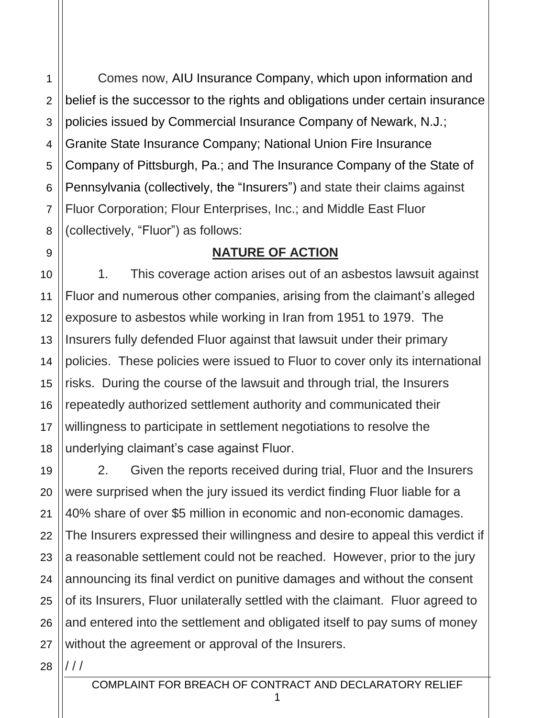Comes now, AIU Insurance Company, which upon information and belief is the successor to the rights and obligations under certain insurance policies issued by Commercial Insurance Company of Newark, N.J.; Granite State Insurance Company; National Union Fire Insurance Company of Pittsburgh, Pa.; and The Insurance Company of the State of Pennsylvania (collectively, the "Insurers") and state their claims against Fluor Corporation; Flour Enterprises, Inc.; and Middle East Fluor (collectively, "Fluor") as follows:

#### **NATURE OF ACTION**

1. This coverage action arises out of an asbestos lawsuit against Fluor and numerous other companies, arising from the claimant's alleged exposure to asbestos while working in Iran from 1951 to 1979. The Insurers fully defended Fluor against that lawsuit under their primary policies. These policies were issued to Fluor to cover only its international risks. During the course of the lawsuit and through trial, the Insurers repeatedly authorized settlement authority and communicated their willingness to participate in settlement negotiations to resolve the underlying claimant's case against Fluor.

19 20 21 22 23 24 25 26 27 2. Given the reports received during trial, Fluor and the Insurers were surprised when the jury issued its verdict finding Fluor liable for a 40% share of over \$5 million in economic and non-economic damages. The Insurers expressed their willingness and desire to appeal this verdict if a reasonable settlement could not be reached. However, prior to the jury announcing its final verdict on punitive damages and without the consent of its Insurers, Fluor unilaterally settled with the claimant. Fluor agreed to and entered into the settlement and obligated itself to pay sums of money without the agreement or approval of the Insurers.

28 / / /

1

2

3

4

5

6

7

8

9

10

11

12

13

14

15

16

17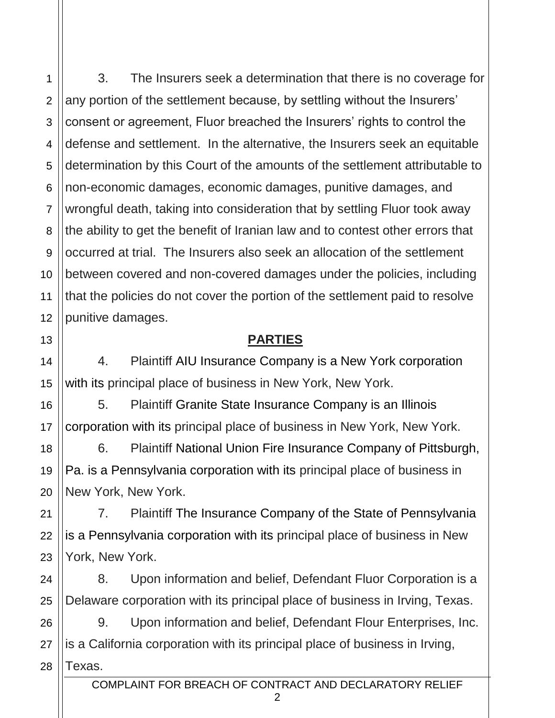1

2

3

4

3. The Insurers seek a determination that there is no coverage for any portion of the settlement because, by settling without the Insurers' consent or agreement, Fluor breached the Insurers' rights to control the defense and settlement. In the alternative, the Insurers seek an equitable determination by this Court of the amounts of the settlement attributable to non-economic damages, economic damages, punitive damages, and wrongful death, taking into consideration that by settling Fluor took away the ability to get the benefit of Iranian law and to contest other errors that occurred at trial. The Insurers also seek an allocation of the settlement between covered and non-covered damages under the policies, including that the policies do not cover the portion of the settlement paid to resolve punitive damages.

### **PARTIES**

4. Plaintiff AIU Insurance Company is a New York corporation with its principal place of business in New York, New York.

5. Plaintiff Granite State Insurance Company is an Illinois corporation with its principal place of business in New York, New York.

6. Plaintiff National Union Fire Insurance Company of Pittsburgh, Pa. is a Pennsylvania corporation with its principal place of business in New York, New York.

7. Plaintiff The Insurance Company of the State of Pennsylvania is a Pennsylvania corporation with its principal place of business in New York, New York.

8. Upon information and belief, Defendant Fluor Corporation is a Delaware corporation with its principal place of business in Irving, Texas.

9. Upon information and belief, Defendant Flour Enterprises, Inc. is a California corporation with its principal place of business in Irving, Texas.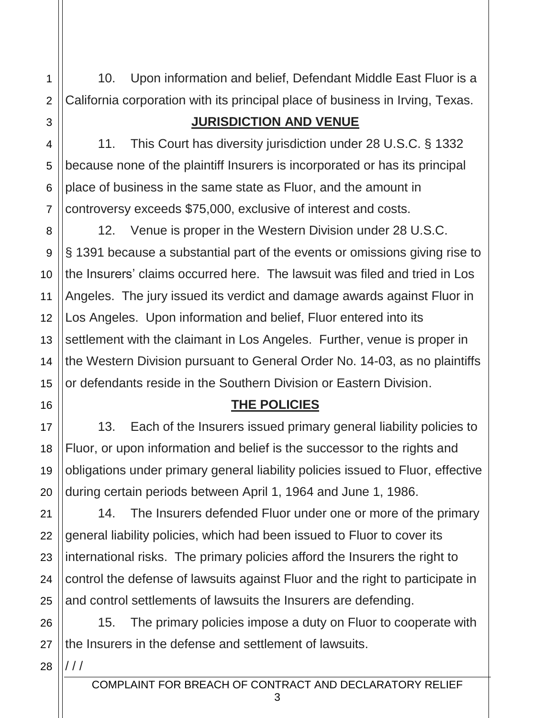10. Upon information and belief, Defendant Middle East Fluor is a California corporation with its principal place of business in Irving, Texas.

## **JURISDICTION AND VENUE**

4 5 6 7 11. This Court has diversity jurisdiction under 28 U.S.C. § 1332 because none of the plaintiff Insurers is incorporated or has its principal place of business in the same state as Fluor, and the amount in controversy exceeds \$75,000, exclusive of interest and costs.

12. Venue is proper in the Western Division under 28 U.S.C. § 1391 because a substantial part of the events or omissions giving rise to the Insurers' claims occurred here. The lawsuit was filed and tried in Los Angeles. The jury issued its verdict and damage awards against Fluor in Los Angeles. Upon information and belief, Fluor entered into its settlement with the claimant in Los Angeles. Further, venue is proper in the Western Division pursuant to General Order No. 14-03, as no plaintiffs or defendants reside in the Southern Division or Eastern Division.

# **THE POLICIES**

13. Each of the Insurers issued primary general liability policies to Fluor, or upon information and belief is the successor to the rights and obligations under primary general liability policies issued to Fluor, effective during certain periods between April 1, 1964 and June 1, 1986.

22 23 24 25 14. The Insurers defended Fluor under one or more of the primary general liability policies, which had been issued to Fluor to cover its international risks. The primary policies afford the Insurers the right to control the defense of lawsuits against Fluor and the right to participate in and control settlements of lawsuits the Insurers are defending.

26 27 15. The primary policies impose a duty on Fluor to cooperate with the Insurers in the defense and settlement of lawsuits.

28 / / /

1

2

3

8

9

10

11

12

13

14

15

16

17

18

19

20

21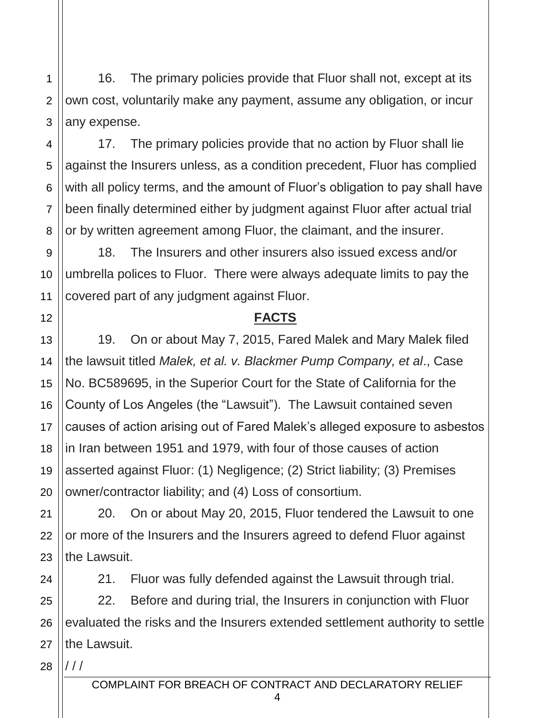16. The primary policies provide that Fluor shall not, except at its own cost, voluntarily make any payment, assume any obligation, or incur any expense.

17. The primary policies provide that no action by Fluor shall lie against the Insurers unless, as a condition precedent, Fluor has complied with all policy terms, and the amount of Fluor's obligation to pay shall have been finally determined either by judgment against Fluor after actual trial or by written agreement among Fluor, the claimant, and the insurer.

18. The Insurers and other insurers also issued excess and/or umbrella polices to Fluor. There were always adequate limits to pay the covered part of any judgment against Fluor.

#### **FACTS**

19. On or about May 7, 2015, Fared Malek and Mary Malek filed the lawsuit titled *Malek, et al. v. Blackmer Pump Company, et al*., Case No. BC589695, in the Superior Court for the State of California for the County of Los Angeles (the "Lawsuit"). The Lawsuit contained seven causes of action arising out of Fared Malek's alleged exposure to asbestos in Iran between 1951 and 1979, with four of those causes of action asserted against Fluor: (1) Negligence; (2) Strict liability; (3) Premises owner/contractor liability; and (4) Loss of consortium.

20. On or about May 20, 2015, Fluor tendered the Lawsuit to one or more of the Insurers and the Insurers agreed to defend Fluor against the Lawsuit.

24

1

2

3

4

5

6

7

8

9

10

11

12

13

14

15

16

17

18

19

20

21

22

23

21. Fluor was fully defended against the Lawsuit through trial.

25 26 27 22. Before and during trial, the Insurers in conjunction with Fluor evaluated the risks and the Insurers extended settlement authority to settle the Lawsuit.

28 / / /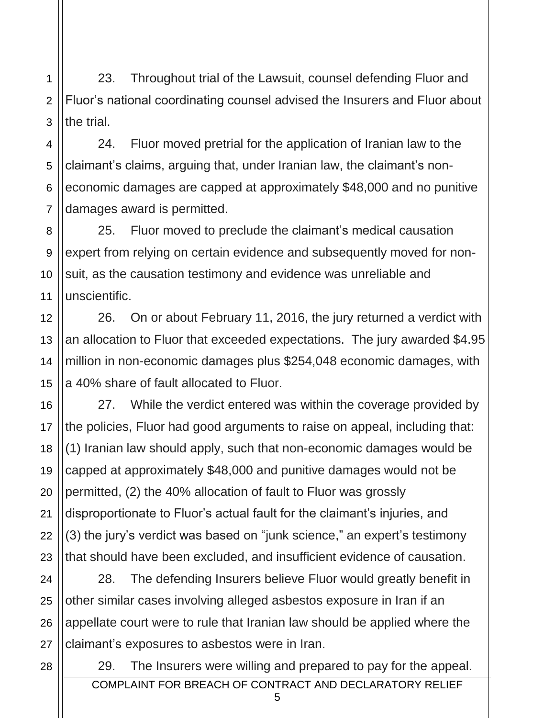2 3 23. Throughout trial of the Lawsuit, counsel defending Fluor and Fluor's national coordinating counsel advised the Insurers and Fluor about the trial.

4 5 6 7 24. Fluor moved pretrial for the application of Iranian law to the claimant's claims, arguing that, under Iranian law, the claimant's noneconomic damages are capped at approximately \$48,000 and no punitive damages award is permitted.

8 9 10 11 25. Fluor moved to preclude the claimant's medical causation expert from relying on certain evidence and subsequently moved for nonsuit, as the causation testimony and evidence was unreliable and unscientific.

26. On or about February 11, 2016, the jury returned a verdict with an allocation to Fluor that exceeded expectations. The jury awarded \$4.95 million in non-economic damages plus \$254,048 economic damages, with a 40% share of fault allocated to Fluor.

27. While the verdict entered was within the coverage provided by the policies, Fluor had good arguments to raise on appeal, including that: (1) Iranian law should apply, such that non-economic damages would be capped at approximately \$48,000 and punitive damages would not be permitted, (2) the 40% allocation of fault to Fluor was grossly disproportionate to Fluor's actual fault for the claimant's injuries, and (3) the jury's verdict was based on "junk science," an expert's testimony that should have been excluded, and insufficient evidence of causation.

28. The defending Insurers believe Fluor would greatly benefit in other similar cases involving alleged asbestos exposure in Iran if an appellate court were to rule that Iranian law should be applied where the claimant's exposures to asbestos were in Iran.

COMPLAINT FOR BREACH OF CONTRACT AND DECLARATORY RELIEF 29. The Insurers were willing and prepared to pay for the appeal.

5

1

12

13

14

15

16

17

18

19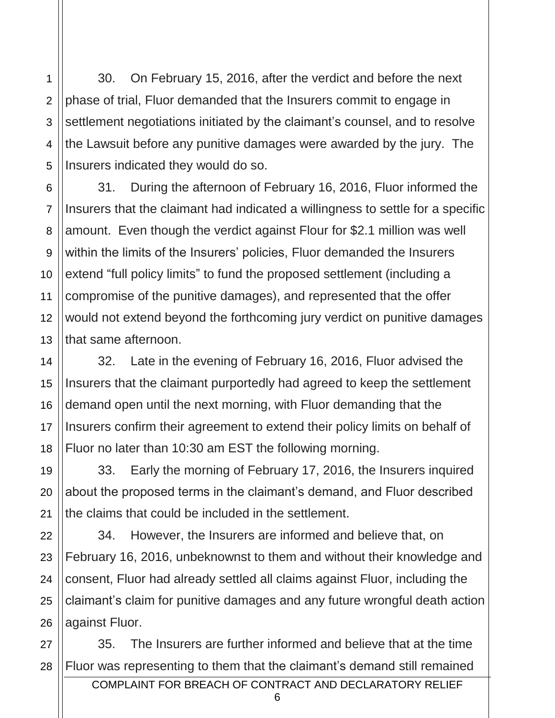30. On February 15, 2016, after the verdict and before the next phase of trial, Fluor demanded that the Insurers commit to engage in settlement negotiations initiated by the claimant's counsel, and to resolve the Lawsuit before any punitive damages were awarded by the jury. The Insurers indicated they would do so.

13 31. During the afternoon of February 16, 2016, Fluor informed the Insurers that the claimant had indicated a willingness to settle for a specific amount. Even though the verdict against Flour for \$2.1 million was well within the limits of the Insurers' policies, Fluor demanded the Insurers extend "full policy limits" to fund the proposed settlement (including a compromise of the punitive damages), and represented that the offer would not extend beyond the forthcoming jury verdict on punitive damages that same afternoon.

32. Late in the evening of February 16, 2016, Fluor advised the Insurers that the claimant purportedly had agreed to keep the settlement demand open until the next morning, with Fluor demanding that the Insurers confirm their agreement to extend their policy limits on behalf of Fluor no later than 10:30 am EST the following morning.

33. Early the morning of February 17, 2016, the Insurers inquired about the proposed terms in the claimant's demand, and Fluor described the claims that could be included in the settlement.

22 34. However, the Insurers are informed and believe that, on February 16, 2016, unbeknownst to them and without their knowledge and consent, Fluor had already settled all claims against Fluor, including the claimant's claim for punitive damages and any future wrongful death action against Fluor.

28 35. The Insurers are further informed and believe that at the time Fluor was representing to them that the claimant's demand still remained

1

2

3

4

5

6

7

8

9

10

11

12

14

15

16

17

18

19

20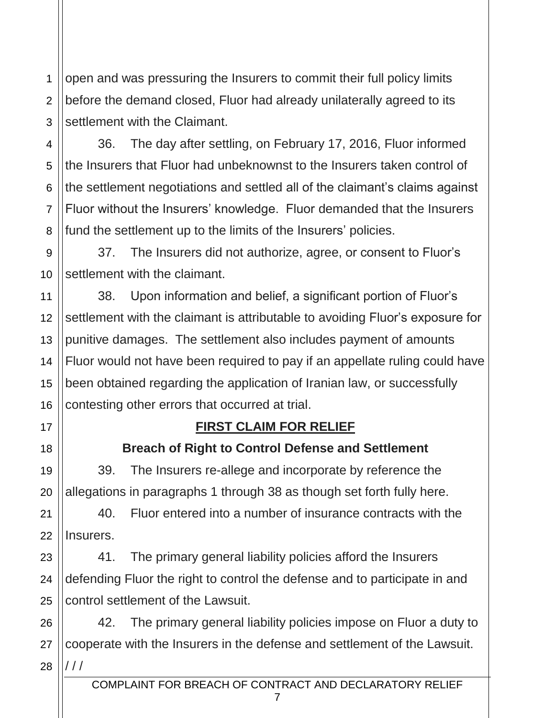1 2 3 open and was pressuring the Insurers to commit their full policy limits before the demand closed, Fluor had already unilaterally agreed to its settlement with the Claimant.

4 5 6 7 8 36. The day after settling, on February 17, 2016, Fluor informed the Insurers that Fluor had unbeknownst to the Insurers taken control of the settlement negotiations and settled all of the claimant's claims against Fluor without the Insurers' knowledge. Fluor demanded that the Insurers fund the settlement up to the limits of the Insurers' policies.

37. The Insurers did not authorize, agree, or consent to Fluor's settlement with the claimant.

38. Upon information and belief, a significant portion of Fluor's settlement with the claimant is attributable to avoiding Fluor's exposure for punitive damages. The settlement also includes payment of amounts Fluor would not have been required to pay if an appellate ruling could have been obtained regarding the application of Iranian law, or successfully contesting other errors that occurred at trial.

### **FIRST CLAIM FOR RELIEF**

### **Breach of Right to Control Defense and Settlement**

39. The Insurers re-allege and incorporate by reference the allegations in paragraphs 1 through 38 as though set forth fully here.

40. Fluor entered into a number of insurance contracts with the Insurers.

41. The primary general liability policies afford the Insurers defending Fluor the right to control the defense and to participate in and control settlement of the Lawsuit.

28 42. The primary general liability policies impose on Fluor a duty to cooperate with the Insurers in the defense and settlement of the Lawsuit. / / /

9

10

11

12

13

14

15

16

17

18

19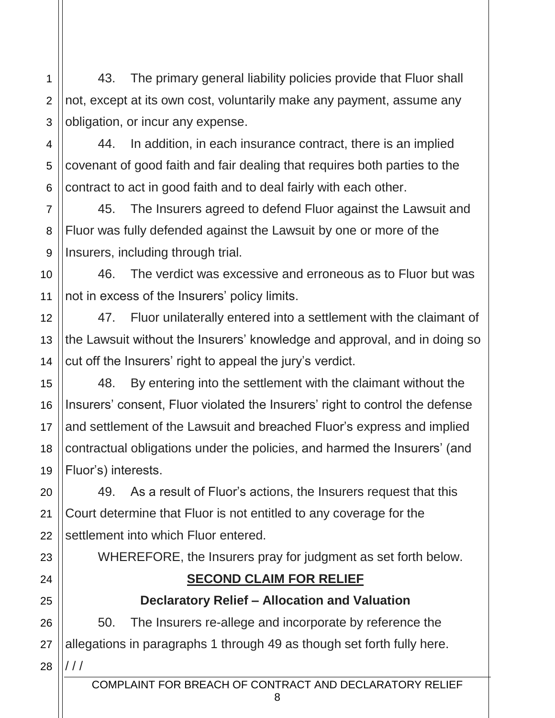43. The primary general liability policies provide that Fluor shall not, except at its own cost, voluntarily make any payment, assume any obligation, or incur any expense.

1

2

3

5

6

7

8

9

10

11

12

13

14

15

16

17

18

19

21

23

24

25

4 44. In addition, in each insurance contract, there is an implied covenant of good faith and fair dealing that requires both parties to the contract to act in good faith and to deal fairly with each other.

45. The Insurers agreed to defend Fluor against the Lawsuit and Fluor was fully defended against the Lawsuit by one or more of the Insurers, including through trial.

46. The verdict was excessive and erroneous as to Fluor but was not in excess of the Insurers' policy limits.

47. Fluor unilaterally entered into a settlement with the claimant of the Lawsuit without the Insurers' knowledge and approval, and in doing so cut off the Insurers' right to appeal the jury's verdict.

48. By entering into the settlement with the claimant without the Insurers' consent, Fluor violated the Insurers' right to control the defense and settlement of the Lawsuit and breached Fluor's express and implied contractual obligations under the policies, and harmed the Insurers' (and Fluor's) interests.

20 22 49. As a result of Fluor's actions, the Insurers request that this Court determine that Fluor is not entitled to any coverage for the settlement into which Fluor entered.

WHEREFORE, the Insurers pray for judgment as set forth below.

# **SECOND CLAIM FOR RELIEF**

# **Declaratory Relief – Allocation and Valuation**

26 27 28 50. The Insurers re-allege and incorporate by reference the allegations in paragraphs 1 through 49 as though set forth fully here. / / /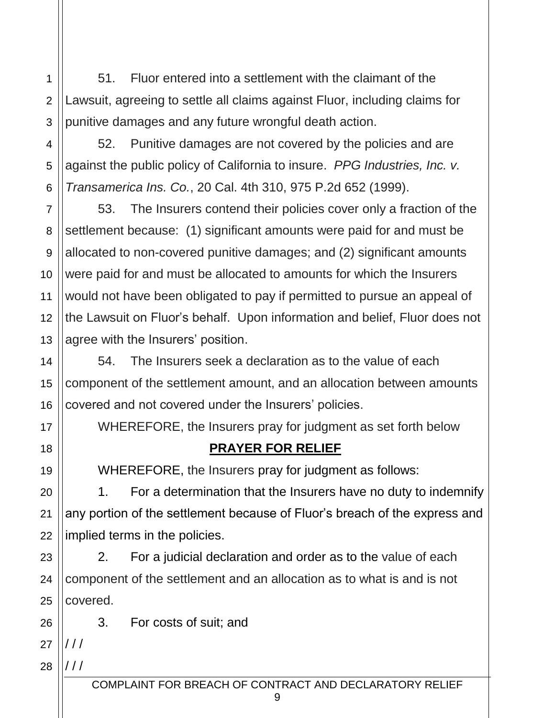51. Fluor entered into a settlement with the claimant of the Lawsuit, agreeing to settle all claims against Fluor, including claims for punitive damages and any future wrongful death action.

52. Punitive damages are not covered by the policies and are against the public policy of California to insure. *PPG Industries, Inc. v. Transamerica Ins. Co.*, 20 Cal. 4th 310, 975 P.2d 652 (1999).

7 8 9 10 11 12 13 53. The Insurers contend their policies cover only a fraction of the settlement because: (1) significant amounts were paid for and must be allocated to non-covered punitive damages; and (2) significant amounts were paid for and must be allocated to amounts for which the Insurers would not have been obligated to pay if permitted to pursue an appeal of the Lawsuit on Fluor's behalf. Upon information and belief, Fluor does not agree with the Insurers' position.

54. The Insurers seek a declaration as to the value of each component of the settlement amount, and an allocation between amounts covered and not covered under the Insurers' policies.

WHEREFORE, the Insurers pray for judgment as set forth below

# **PRAYER FOR RELIEF**

WHEREFORE, the Insurers pray for judgment as follows:

1. For a determination that the Insurers have no duty to indemnify any portion of the settlement because of Fluor's breach of the express and implied terms in the policies.

23 24 25 2. For a judicial declaration and order as to the value of each component of the settlement and an allocation as to what is and is not covered.

3. For costs of suit; and

27  $111$ 

26

1

2

3

4

5

6

14

15

16

17

18

19

20

21

22

28 / / /